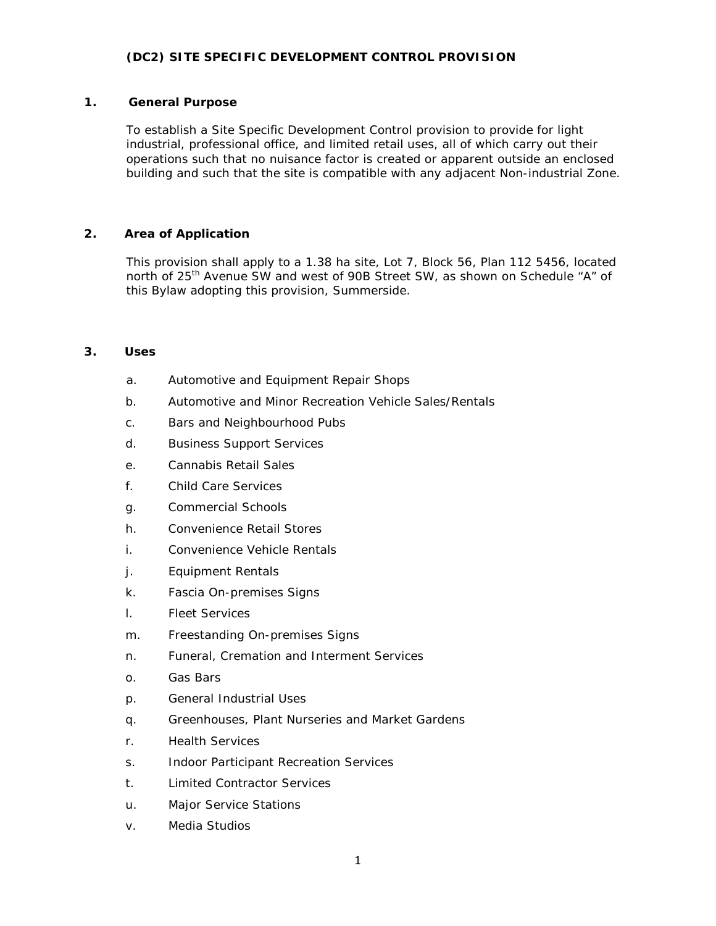## **(DC2) SITE SPECIFIC DEVELOPMENT CONTROL PROVISION**

### **1. General Purpose**

To establish a Site Specific Development Control provision to provide for light industrial, professional office, and limited retail uses, all of which carry out their operations such that no nuisance factor is created or apparent outside an enclosed building and such that the site is compatible with any adjacent Non-industrial Zone.

## **2. Area of Application**

This provision shall apply to a 1.38 ha site, Lot 7, Block 56, Plan 112 5456, located north of 25<sup>th</sup> Avenue SW and west of 90B Street SW, as shown on Schedule "A" of this Bylaw adopting this provision, Summerside.

#### **3. Uses**

- a. Automotive and Equipment Repair Shops
- b. Automotive and Minor Recreation Vehicle Sales/Rentals
- c. Bars and Neighbourhood Pubs
- d. Business Support Services
- e. Cannabis Retail Sales
- f. Child Care Services
- g. Commercial Schools
- h. Convenience Retail Stores
- i. Convenience Vehicle Rentals
- j. Equipment Rentals
- k. Fascia On-premises Signs
- l. Fleet Services
- m. Freestanding On-premises Signs
- n. Funeral, Cremation and Interment Services
- o. Gas Bars
- p. General Industrial Uses
- q. Greenhouses, Plant Nurseries and Market Gardens
- r. Health Services
- s. Indoor Participant Recreation Services
- t. Limited Contractor Services
- u. Major Service Stations
- v. Media Studios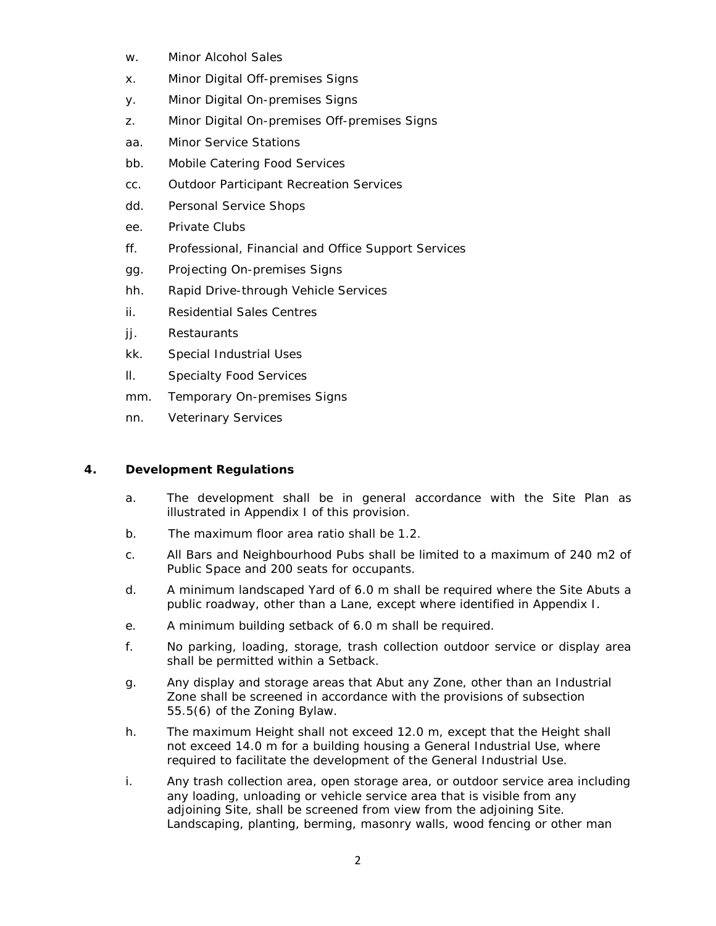- w. Minor Alcohol Sales
- x. Minor Digital Off-premises Signs
- y. Minor Digital On-premises Signs
- z. Minor Digital On-premises Off-premises Signs
- aa. Minor Service Stations
- bb. Mobile Catering Food Services
- cc. Outdoor Participant Recreation Services
- dd. Personal Service Shops
- ee. Private Clubs
- ff. Professional, Financial and Office Support Services
- gg. Projecting On-premises Signs
- hh. Rapid Drive-through Vehicle Services
- ii. Residential Sales Centres
- jj. Restaurants
- kk. Special Industrial Uses
- ll. Specialty Food Services
- mm. Temporary On-premises Signs
- nn. Veterinary Services

# **4. Development Regulations**

- a. The development shall be in general accordance with the Site Plan as illustrated in Appendix I of this provision.
- b. The maximum floor area ratio shall be 1.2.
- c. All Bars and Neighbourhood Pubs shall be limited to a maximum of 240 m2 of Public Space and 200 seats for occupants.
- d. A minimum landscaped Yard of 6.0 m shall be required where the Site Abuts a public roadway, other than a Lane, except where identified in Appendix I.
- e. A minimum building setback of 6.0 m shall be required.
- f. No parking, loading, storage, trash collection outdoor service or display area shall be permitted within a Setback.
- g. Any display and storage areas that Abut any Zone, other than an Industrial Zone shall be screened in accordance with the provisions of subsection 55.5(6) of the Zoning Bylaw.
- h. The maximum Height shall not exceed 12.0 m, except that the Height shall not exceed 14.0 m for a building housing a General Industrial Use, where required to facilitate the development of the General Industrial Use.
- i. Any trash collection area, open storage area, or outdoor service area including any loading, unloading or vehicle service area that is visible from any adjoining Site, shall be screened from view from the adjoining Site. Landscaping, planting, berming, masonry walls, wood fencing or other man